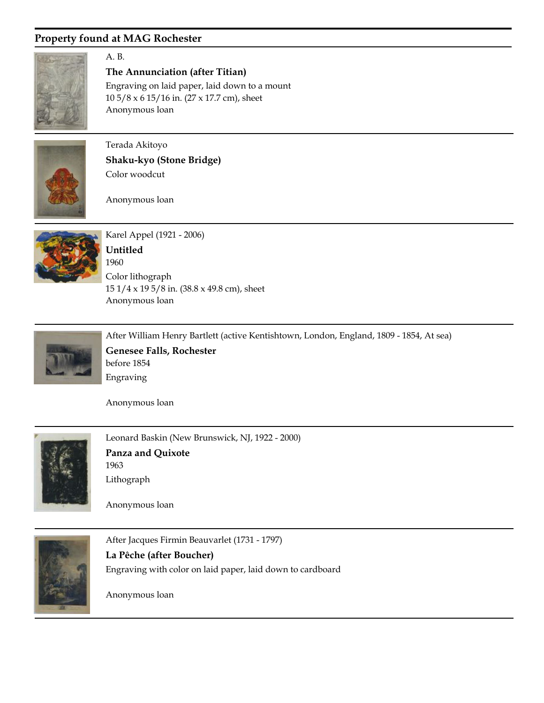

## A. B.

**The Annunciation (after Titian)**

Anonymous loan 10 5/8 x 6 15/16 in. (27 x 17.7 cm), sheet Engraving on laid paper, laid down to a mount



Terada Akitoyo **Shaku-kyo (Stone Bridge)** Color woodcut

Anonymous loan



Karel Appel (1921 - 2006) Anonymous loan 1960 **Untitled** 15 1/4 x 19 5/8 in. (38.8 x 49.8 cm), sheet Color lithograph



After William Henry Bartlett (active Kentishtown, London, England, 1809 - 1854, At sea)

before 1854 **Genesee Falls, Rochester** Engraving

Anonymous loan



Leonard Baskin (New Brunswick, NJ, 1922 - 2000) 1963 **Panza and Quixote** Lithograph

Anonymous loan



After Jacques Firmin Beauvarlet (1731 - 1797) **La Pêche (after Boucher)** Engraving with color on laid paper, laid down to cardboard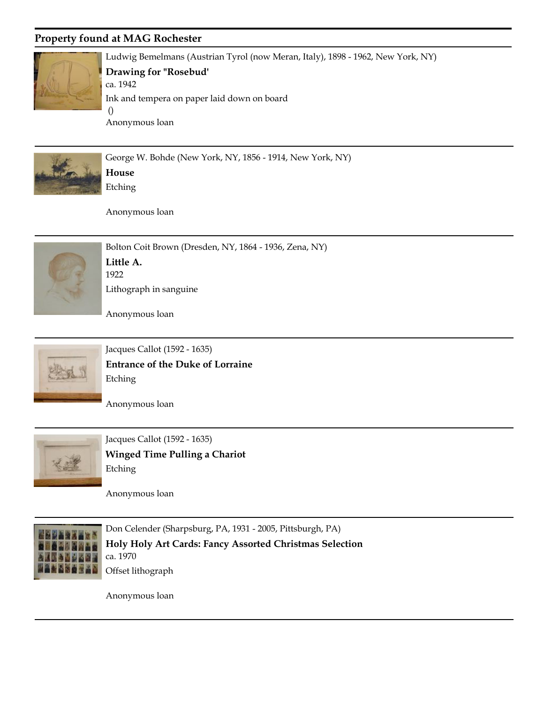

Ludwig Bemelmans (Austrian Tyrol (now Meran, Italy), 1898 - 1962, New York, NY)

#### ca. 1942 **Drawing for "Rosebud'**

Anonymous loan () Ink and tempera on paper laid down on board



George W. Bohde (New York, NY, 1856 - 1914, New York, NY) **House** Etching

Anonymous loan



Bolton Coit Brown (Dresden, NY, 1864 - 1936, Zena, NY) 1922 **Little A.** Lithograph in sanguine

Anonymous loan



Jacques Callot (1592 - 1635) **Entrance of the Duke of Lorraine** Etching

Anonymous loan



Jacques Callot (1592 - 1635) **Winged Time Pulling a Chariot** Etching

Anonymous loan



Don Celender (Sharpsburg, PA, 1931 - 2005, Pittsburgh, PA) ca. 1970 **Holy Holy Art Cards: Fancy Assorted Christmas Selection** Offset lithograph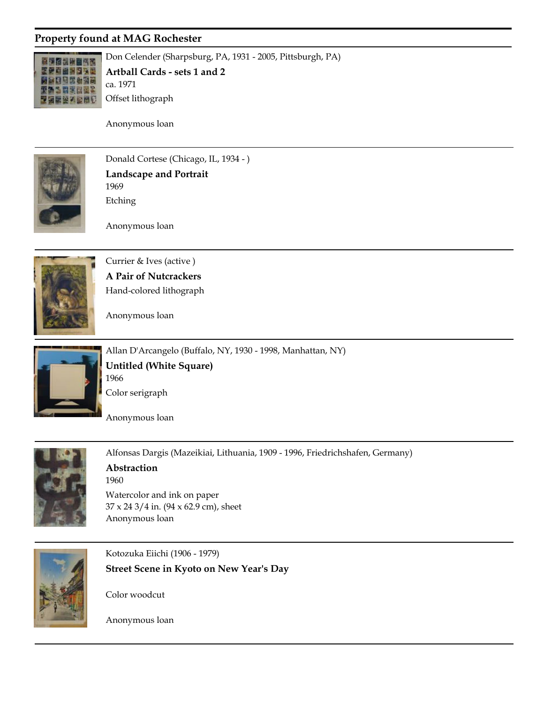

Don Celender (Sharpsburg, PA, 1931 - 2005, Pittsburgh, PA) ca. 1971 **Artball Cards - sets 1 and 2**

Anonymous loan

Offset lithograph



Donald Cortese (Chicago, IL, 1934 - ) 1969 **Landscape and Portrait** Etching

Anonymous loan



Currier & Ives (active ) **A Pair of Nutcrackers** Hand-colored lithograph

Anonymous loan



Allan D'Arcangelo (Buffalo, NY, 1930 - 1998, Manhattan, NY) 1966 **Untitled (White Square)** Color serigraph

Anonymous loan



Alfonsas Dargis (Mazeikiai, Lithuania, 1909 - 1996, Friedrichshafen, Germany) 1960 **Abstraction** 37 x 24 3/4 in. (94 x 62.9 cm), sheet Watercolor and ink on paper

Anonymous loan



Kotozuka Eiichi (1906 - 1979) **Street Scene in Kyoto on New Year's Day**

Color woodcut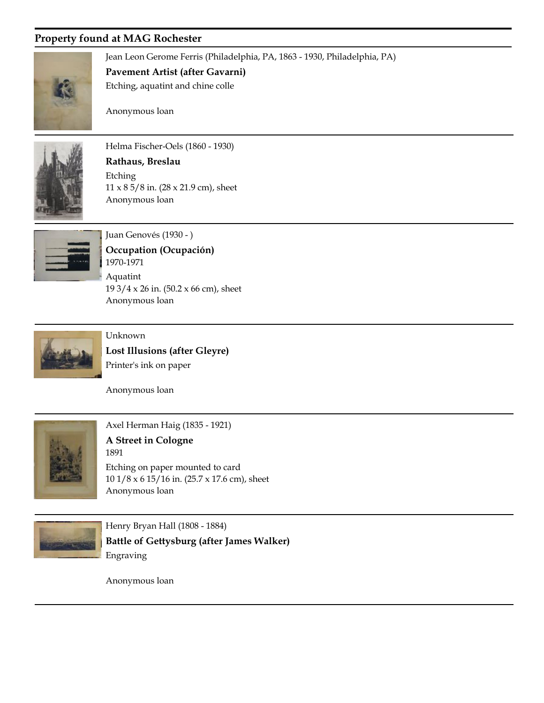

Jean Leon Gerome Ferris (Philadelphia, PA, 1863 - 1930, Philadelphia, PA)

**Pavement Artist (after Gavarni)**

Etching, aquatint and chine colle

Anonymous loan



Helma Fischer-Oels (1860 - 1930) **Rathaus, Breslau** 11 x 8 5/8 in. (28 x 21.9 cm), sheet Etching

Anonymous loan



Juan Genovés (1930 - ) Anonymous loan 1970-1971 **Occupation (Ocupación)** 19 3/4 x 26 in. (50.2 x 66 cm), sheet Aquatint



Unknown

**Lost Illusions (after Gleyre)** Printer's ink on paper

Anonymous loan



Axel Herman Haig (1835 - 1921)

Anonymous loan 1891 **A Street in Cologne** 10 1/8 x 6 15/16 in. (25.7 x 17.6 cm), sheet Etching on paper mounted to card



Henry Bryan Hall (1808 - 1884) **Battle of Gettysburg (after James Walker)** Engraving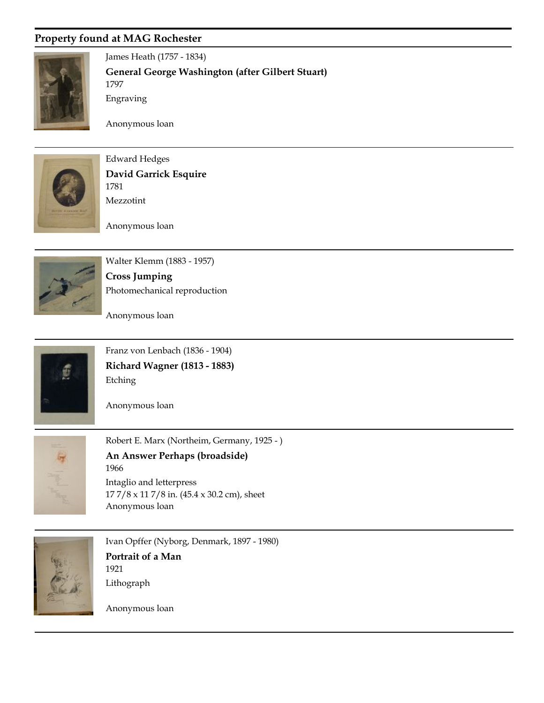

James Heath (1757 - 1834) 1797 **General George Washington (after Gilbert Stuart)** Engraving

Anonymous loan



Edward Hedges 1781 **David Garrick Esquire** Mezzotint

Anonymous loan



Walter Klemm (1883 - 1957) **Cross Jumping** Photomechanical reproduction

Anonymous loan



Franz von Lenbach (1836 - 1904) **Richard Wagner (1813 - 1883)** Etching





Robert E. Marx (Northeim, Germany, 1925 - ) Anonymous loan 1966 **An Answer Perhaps (broadside)** 17 7/8 x 11 7/8 in. (45.4 x 30.2 cm), sheet Intaglio and letterpress



Ivan Opffer (Nyborg, Denmark, 1897 - 1980) 1921 **Portrait of a Man** Lithograph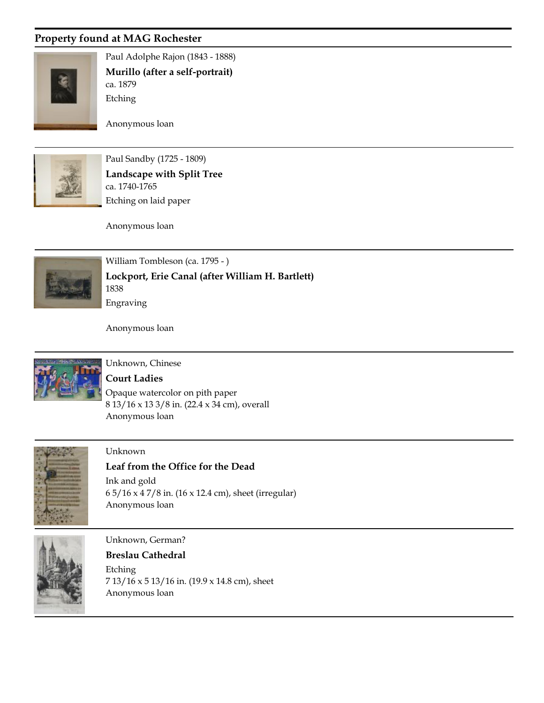

Paul Adolphe Rajon (1843 - 1888) ca. 1879 **Murillo (after a self-portrait)** Etching

Anonymous loan



Paul Sandby (1725 - 1809) ca. 1740-1765 **Landscape with Split Tree** Etching on laid paper

Anonymous loan



William Tombleson (ca. 1795 - ) 1838 **Lockport, Erie Canal (after William H. Bartlett)** Engraving

Anonymous loan



# Unknown, Chinese

Anonymous loan **Court Ladies** 8 13/16 x 13 3/8 in. (22.4 x 34 cm), overall Opaque watercolor on pith paper



#### Unknown

**Leaf from the Office for the Dead** Ink and gold

Anonymous loan 6 5/16 x 4 7/8 in. (16 x 12.4 cm), sheet (irregular)



#### Unknown, German?

**Breslau Cathedral** Etching

Anonymous loan 7 13/16 x 5 13/16 in. (19.9 x 14.8 cm), sheet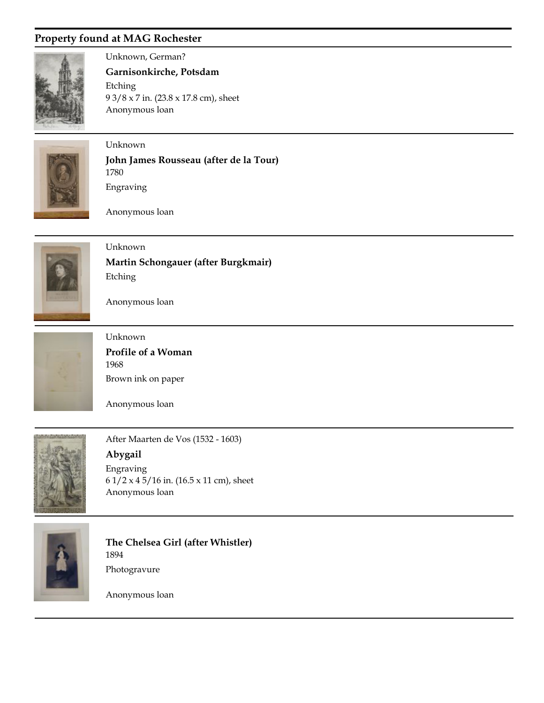

Unknown, German?

Anonymous loan **Garnisonkirche, Potsdam** 9 3/8 x 7 in. (23.8 x 17.8 cm), sheet Etching



Unknown

1780 **John James Rousseau (after de la Tour)** Engraving

Anonymous loan



Unknown **Martin Schongauer (after Burgkmair)** Etching

Anonymous loan



Unknown 1968 **Profile of a Woman** Brown ink on paper

Anonymous loan



After Maarten de Vos (1532 - 1603) Anonymous loan **Abygail** 6 1/2 x 4 5/16 in. (16.5 x 11 cm), sheet Engraving



1894 **The Chelsea Girl (after Whistler)** Photogravure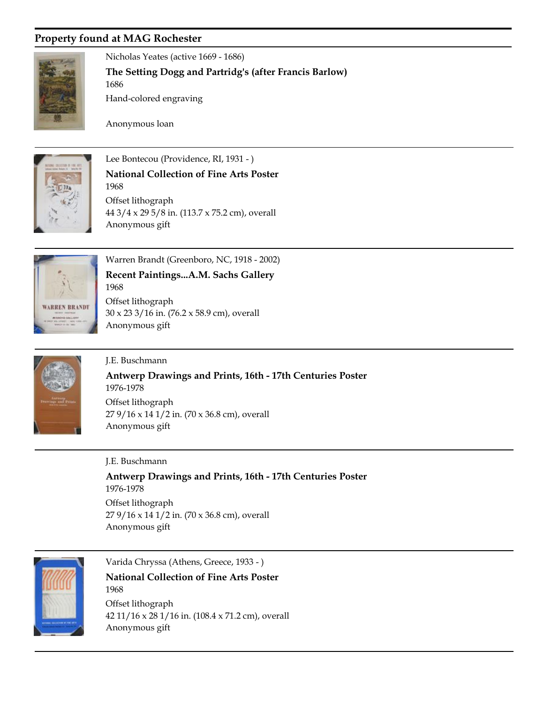1686



Nicholas Yeates (active 1669 - 1686)

**The Setting Dogg and Partridg's (after Francis Barlow)**

Hand-colored engraving

Anonymous loan

Anonymous gift



Lee Bontecou (Providence, RI, 1931 - ) 1968 **National Collection of Fine Arts Poster** 44 3/4 x 29 5/8 in. (113.7 x 75.2 cm), overall Offset lithograph



Warren Brandt (Greenboro, NC, 1918 - 2002)

Anonymous gift 1968 **Recent Paintings...A.M. Sachs Gallery** 30 x 23 3/16 in. (76.2 x 58.9 cm), overall Offset lithograph



#### J.E. Buschmann

1976-1978 **Antwerp Drawings and Prints, 16th - 17th Centuries Poster** 27 9/16 x 14 1/2 in. (70 x 36.8 cm), overall Offset lithograph

Anonymous gift

J.E. Buschmann

Anonymous gift 1976-1978 **Antwerp Drawings and Prints, 16th - 17th Centuries Poster** 27 9/16 x 14 1/2 in. (70 x 36.8 cm), overall Offset lithograph



Varida Chryssa (Athens, Greece, 1933 - )

Anonymous gift 1968 **National Collection of Fine Arts Poster** 42 11/16 x 28 1/16 in. (108.4 x 71.2 cm), overall Offset lithograph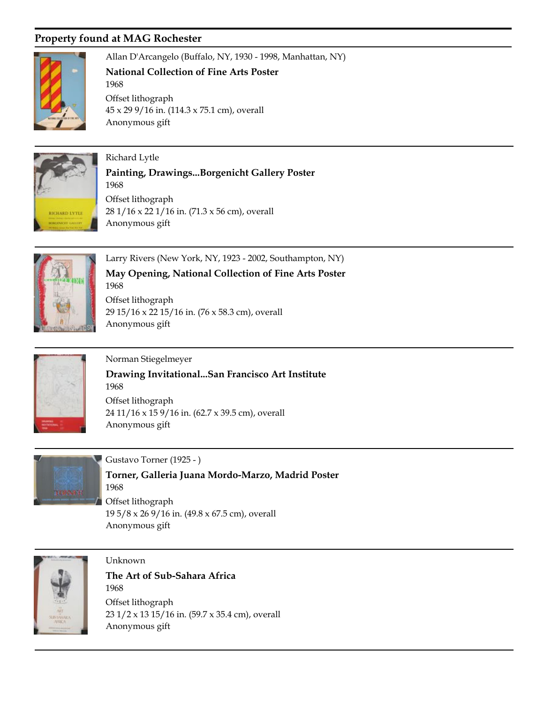1968

Anonymous gift



Allan D'Arcangelo (Buffalo, NY, 1930 - 1998, Manhattan, NY)

**National Collection of Fine Arts Poster**

Anonymous gift 45 x 29 9/16 in. (114.3 x 75.1 cm), overall Offset lithograph



Richard Lytle 1968 **Painting, Drawings...Borgenicht Gallery Poster** 28 1/16 x 22 1/16 in. (71.3 x 56 cm), overall Offset lithograph



Larry Rivers (New York, NY, 1923 - 2002, Southampton, NY)

Anonymous gift 1968 **May Opening, National Collection of Fine Arts Poster** 29 15/16 x 22 15/16 in. (76 x 58.3 cm), overall Offset lithograph



Norman Stiegelmeyer Anonymous gift 1968 **Drawing Invitational...San Francisco Art Institute** 24 11/16 x 15 9/16 in. (62.7 x 39.5 cm), overall Offset lithograph



Gustavo Torner (1925 - ) Anonymous gift 1968 **Torner, Galleria Juana Mordo-Marzo, Madrid Poster** 19 5/8 x 26 9/16 in. (49.8 x 67.5 cm), overall Offset lithograph



Unknown

Anonymous gift 1968 **The Art of Sub-Sahara Africa** 23 1/2 x 13 15/16 in. (59.7 x 35.4 cm), overall Offset lithograph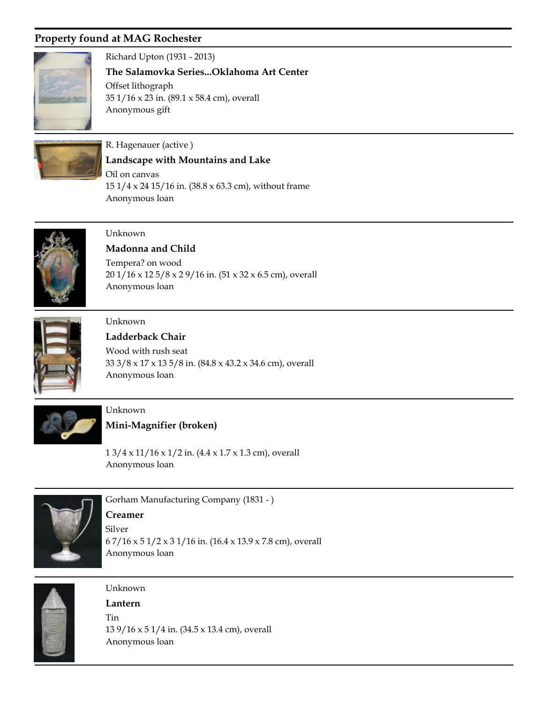

#### Richard Upton (1931 - 2013)

Anonymous gift **The Salamovka Series...Oklahoma Art Center** 35 1/16 x 23 in. (89.1 x 58.4 cm), overall Offset lithograph



### R. Hagenauer (active )

**Landscape with Mountains and Lake**

Anonymous loan 15 1/4 x 24 15/16 in. (38.8 x 63.3 cm), without frame Oil on canvas



#### Unknown

Anonymous loan **Madonna and Child** 20 1/16 x 12 5/8 x 2 9/16 in. (51 x 32 x 6.5 cm), overall Tempera? on wood



#### Unknown

Anonymous loan **Ladderback Chair** 33 3/8 x 17 x 13 5/8 in. (84.8 x 43.2 x 34.6 cm), overall Wood with rush seat



## Unknown **Mini-Magnifier (broken)**

1 3/4 x 11/16 x 1/2 in. (4.4 x 1.7 x 1.3 cm), overall

Anonymous loan



Gorham Manufacturing Company (1831 - ) **Creamer**

Anonymous loan 6 7/16 x 5 1/2 x 3 1/16 in. (16.4 x 13.9 x 7.8 cm), overall Silver



## Unknown

Anonymous loan **Lantern** 13 9/16 x 5 1/4 in. (34.5 x 13.4 cm), overall Tin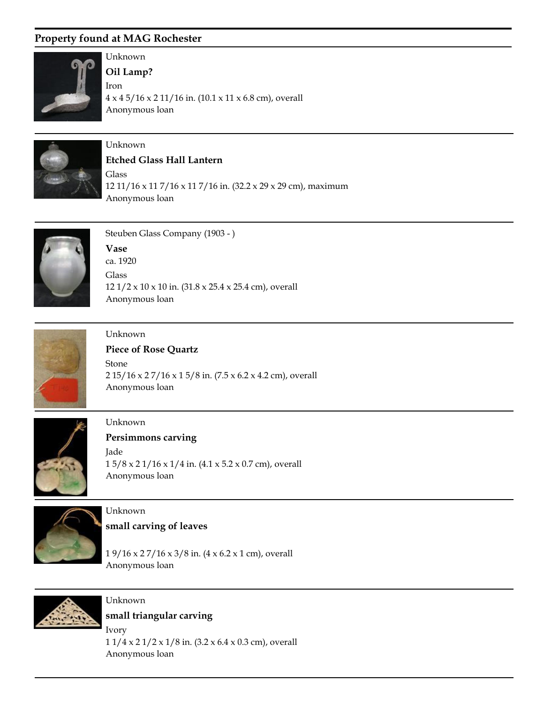

# Unknown

Anonymous loan **Oil Lamp?** 4 x 4 5/16 x 2 11/16 in. (10.1 x 11 x 6.8 cm), overall Iron



## Unknown

**Etched Glass Hall Lantern**

Anonymous loan 12 11/16 x 11 7/16 x 11 7/16 in. (32.2 x 29 x 29 cm), maximum Glass



Steuben Glass Company (1903 - )

Anonymous loan ca. 1920 **Vase** 12 1/2 x 10 x 10 in. (31.8 x 25.4 x 25.4 cm), overall Glass



## Unknown **Piece of Rose Quartz**

Anonymous loan 2 15/16 x 2 7/16 x 1 5/8 in. (7.5 x 6.2 x 4.2 cm), overall Stone



## Unknown

**Persimmons carving**

Anonymous loan 1 5/8 x 2 1/16 x 1/4 in. (4.1 x 5.2 x 0.7 cm), overall Jade



# Unknown

**small carving of leaves**

Anonymous loan 1 9/16 x 2 7/16 x 3/8 in. (4 x 6.2 x 1 cm), overall



#### Unknown

**small triangular carving**

Anonymous loan 1 1/4 x 2 1/2 x 1/8 in. (3.2 x 6.4 x 0.3 cm), overall Ivory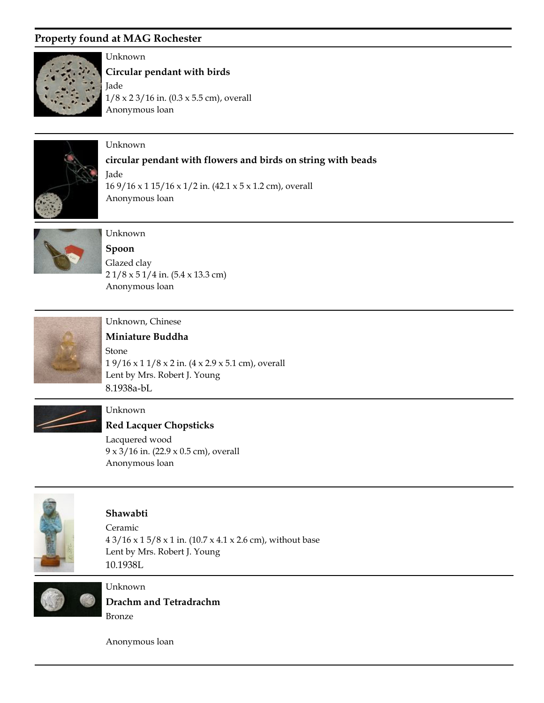

#### Unknown

Anonymous loan **Circular pendant with birds** 1/8 x 2 3/16 in. (0.3 x 5.5 cm), overall Jade



#### Unknown

#### **circular pendant with flowers and birds on string with beads**

Anonymous loan 16 9/16 x 1 15/16 x 1/2 in. (42.1 x 5 x 1.2 cm), overall Jade



## Unknown

Anonymous loan **Spoon** 2 1/8 x 5 1/4 in. (5.4 x 13.3 cm) Glazed clay



### Unknown, Chinese

Lent by Mrs. Robert J. Young 8.1938a-bL **Miniature Buddha** 1 9/16 x 1 1/8 x 2 in. (4 x 2.9 x 5.1 cm), overall Stone



#### Unknown

Anonymous loan **Red Lacquer Chopsticks** 9 x 3/16 in. (22.9 x 0.5 cm), overall Lacquered wood



#### **Shawabti**

Lent by Mrs. Robert J. Young 10.1938L 4 3/16 x 1 5/8 x 1 in. (10.7 x 4.1 x 2.6 cm), without base Ceramic



Unknown

**Drachm and Tetradrachm** Bronze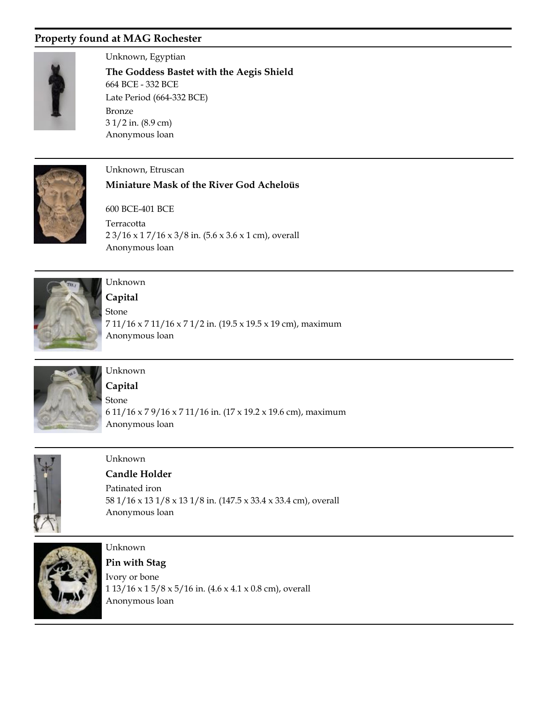

Unknown, Egyptian Anonymous loan 664 BCE - 332 BCE **The Goddess Bastet with the Aegis Shield** 3 1/2 in. (8.9 cm) Bronze Late Period (664-332 BCE)



#### Unknown, Etruscan

#### **Miniature Mask of the River God Acheloüs**

Anonymous loan 600 BCE-401 BCE 2 3/16 x 1 7/16 x 3/8 in. (5.6 x 3.6 x 1 cm), overall Terracotta



## Unknown

Anonymous loan **Capital** 7 11/16 x 7 11/16 x 7 1/2 in. (19.5 x 19.5 x 19 cm), maximum Stone



## Unknown

Anonymous loan **Capital** 6 11/16 x 7 9/16 x 7 11/16 in. (17 x 19.2 x 19.6 cm), maximum Stone



#### Unknown

Anonymous loan **Candle Holder** 58 1/16 x 13 1/8 x 13 1/8 in. (147.5 x 33.4 x 33.4 cm), overall Patinated iron



## Unknown

Anonymous loan **Pin with Stag** 1 13/16 x 1 5/8 x 5/16 in. (4.6 x 4.1 x 0.8 cm), overall Ivory or bone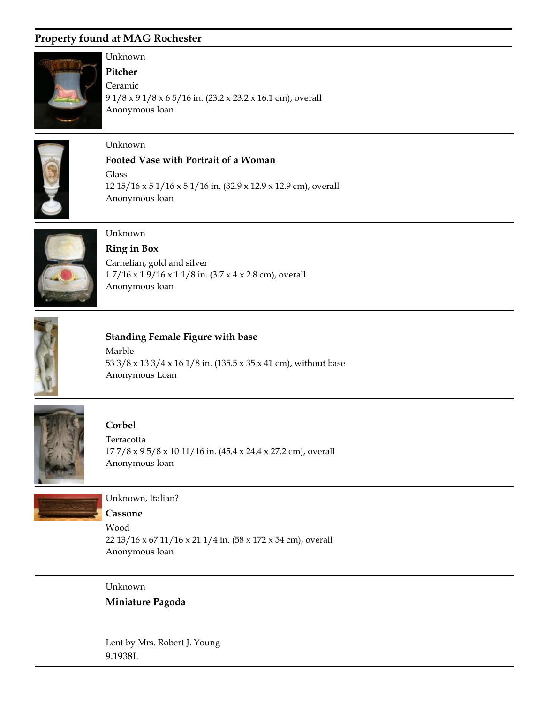

# Unknown

Anonymous loan **Pitcher** 9 1/8 x 9 1/8 x 6 5/16 in. (23.2 x 23.2 x 16.1 cm), overall Ceramic



## Unknown

#### **Footed Vase with Portrait of a Woman**

Anonymous loan 12 15/16 x 5 1/16 x 5 1/16 in. (32.9 x 12.9 x 12.9 cm), overall Glass



## Unknown

Anonymous loan **Ring in Box** 1 7/16 x 1 9/16 x 1 1/8 in. (3.7 x 4 x 2.8 cm), overall Carnelian, gold and silver



## **Standing Female Figure with base**

Anonymous Loan 53 3/8 x 13 3/4 x 16 1/8 in. (135.5 x 35 x 41 cm), without base Marble



#### **Corbel**

Anonymous loan 17 7/8 x 9 5/8 x 10 11/16 in. (45.4 x 24.4 x 27.2 cm), overall Terracotta



#### Unknown, Italian?

**Cassone**

Anonymous loan 22 13/16 x 67 11/16 x 21 1/4 in. (58 x 172 x 54 cm), overall Wood

### Unknown

**Miniature Pagoda**

Lent by Mrs. Robert J. Young 9.1938L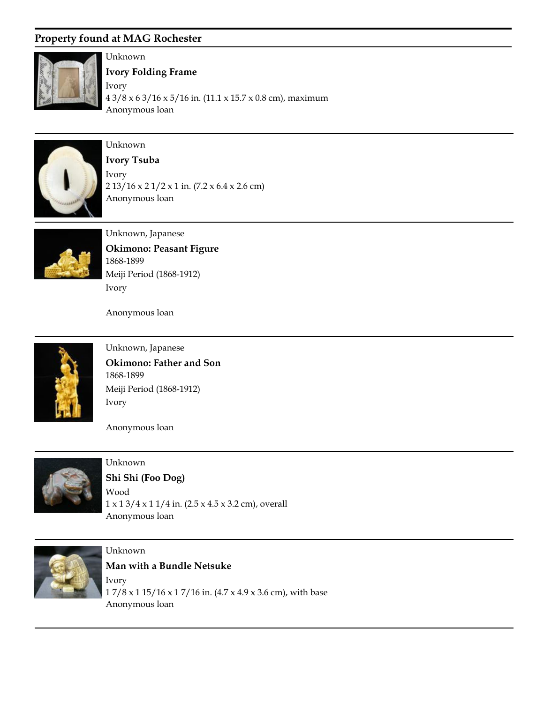

Unknown

Anonymous loan **Ivory Folding Frame** 4 3/8 x 6 3/16 x 5/16 in. (11.1 x 15.7 x 0.8 cm), maximum Ivory



## Unknown

Anonymous loan **Ivory Tsuba** 2 13/16 x 2 1/2 x 1 in. (7.2 x 6.4 x 2.6 cm) Ivory



Unknown, Japanese 1868-1899 **Okimono: Peasant Figure** Ivory Meiji Period (1868-1912)

Anonymous loan



Unknown, Japanese 1868-1899 **Okimono: Father and Son** Ivory Meiji Period (1868-1912)

Anonymous loan



Unknown Anonymous loan **Shi Shi (Foo Dog)**  $1 \times 13/4 \times 11/4$  in. (2.5 x 4.5 x 3.2 cm), overall Wood



Unknown Anonymous loan **Man with a Bundle Netsuke** 1 7/8 x 1 15/16 x 1 7/16 in. (4.7 x 4.9 x 3.6 cm), with base Ivory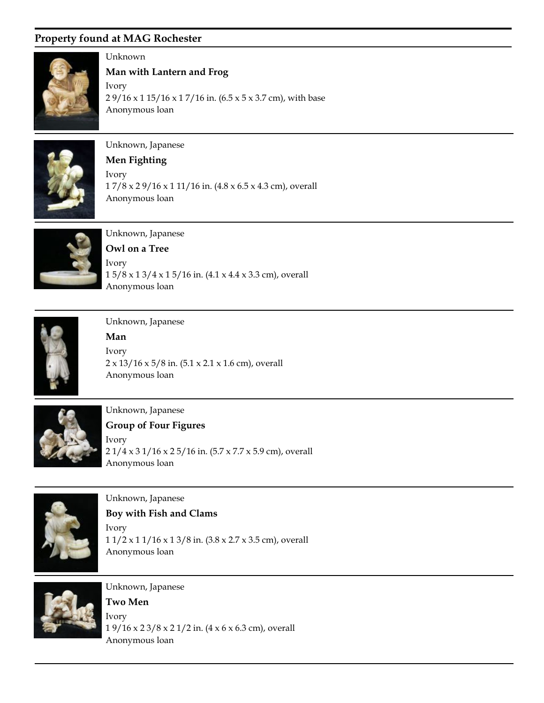

## Unknown

Anonymous loan **Man with Lantern and Frog** 2 9/16 x 1 15/16 x 1 7/16 in. (6.5 x 5 x 3.7 cm), with base Ivory



## Unknown, Japanese

**Men Fighting**

Anonymous loan 1 7/8 x 2 9/16 x 1 11/16 in. (4.8 x 6.5 x 4.3 cm), overall Ivory



Unknown, Japanese **Owl on a Tree** Ivory

Anonymous loan 1 5/8 x 1 3/4 x 1 5/16 in. (4.1 x 4.4 x 3.3 cm), overall



Unknown, Japanese **Man** Ivory

Anonymous loan 2 x 13/16 x 5/8 in. (5.1 x 2.1 x 1.6 cm), overall



Unknown, Japanese

Anonymous loan **Group of Four Figures** 2 1/4 x 3 1/16 x 2 5/16 in. (5.7 x 7.7 x 5.9 cm), overall Ivory



Unknown, Japanese Anonymous loan **Boy with Fish and Clams** 1 1/2 x 1 1/16 x 1 3/8 in. (3.8 x 2.7 x 3.5 cm), overall Ivory



Unknown, Japanese Anonymous loan **Two Men** 1 9/16 x 2 3/8 x 2 1/2 in. (4 x 6 x 6.3 cm), overall Ivory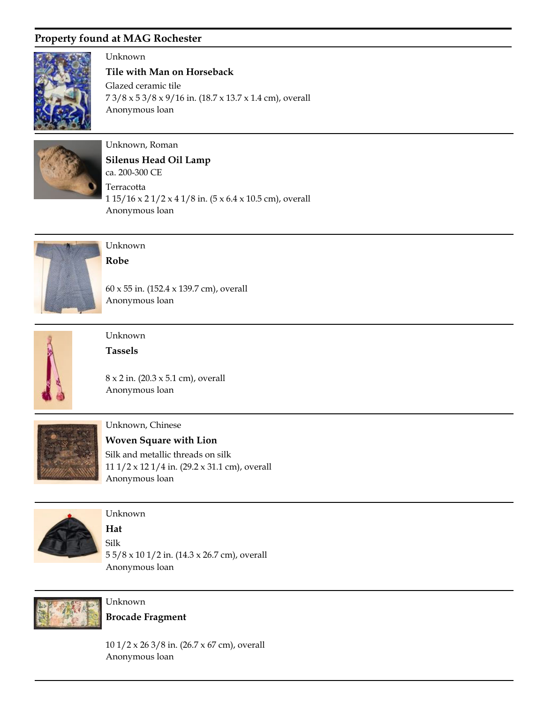

Unknown

Anonymous loan **Tile with Man on Horseback** 7 3/8 x 5 3/8 x 9/16 in. (18.7 x 13.7 x 1.4 cm), overall Glazed ceramic tile



## Unknown, Roman

Anonymous loan ca. 200-300 CE **Silenus Head Oil Lamp** 1 15/16 x 2 1/2 x 4 1/8 in. (5 x 6.4 x 10.5 cm), overall Terracotta



#### Unknown **Robe**

Anonymous loan 60 x 55 in. (152.4 x 139.7 cm), overall



### Unknown **Tassels**

Anonymous loan 8 x 2 in. (20.3 x 5.1 cm), overall



#### Unknown, Chinese

Anonymous loan **Woven Square with Lion** 11 1/2 x 12 1/4 in. (29.2 x 31.1 cm), overall Silk and metallic threads on silk



#### Unknown

Anonymous loan **Hat** 5 5/8 x 10 1/2 in. (14.3 x 26.7 cm), overall Silk



Unknown **Brocade Fragment**

Anonymous loan 10 1/2 x 26 3/8 in. (26.7 x 67 cm), overall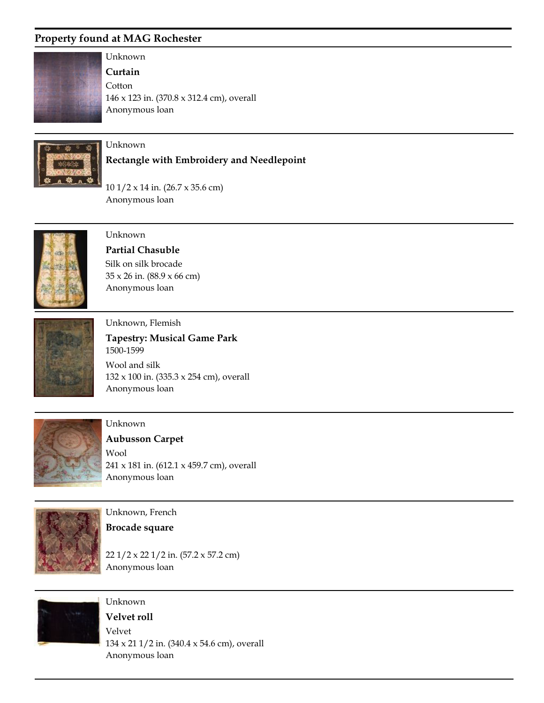

### Unknown **Curtain**

Anonymous loan 146 x 123 in. (370.8 x 312.4 cm), overall **Cotton** 



### Unknown

#### **Rectangle with Embroidery and Needlepoint**

Anonymous loan 10 1/2 x 14 in. (26.7 x 35.6 cm)



### Unknown

Anonymous loan **Partial Chasuble** 35 x 26 in. (88.9 x 66 cm) Silk on silk brocade



#### Unknown, Flemish

Anonymous loan 1500-1599 **Tapestry: Musical Game Park** 132 x 100 in. (335.3 x 254 cm), overall Wool and silk



#### Unknown

#### **Aubusson Carpet**

Anonymous loan 241 x 181 in. (612.1 x 459.7 cm), overall Wool



Unknown, French

#### **Brocade square**

Unknown

Anonymous loan 22 1/2 x 22 1/2 in. (57.2 x 57.2 cm)



Anonymous loan **Velvet roll** 134 x 21 1/2 in. (340.4 x 54.6 cm), overall Velvet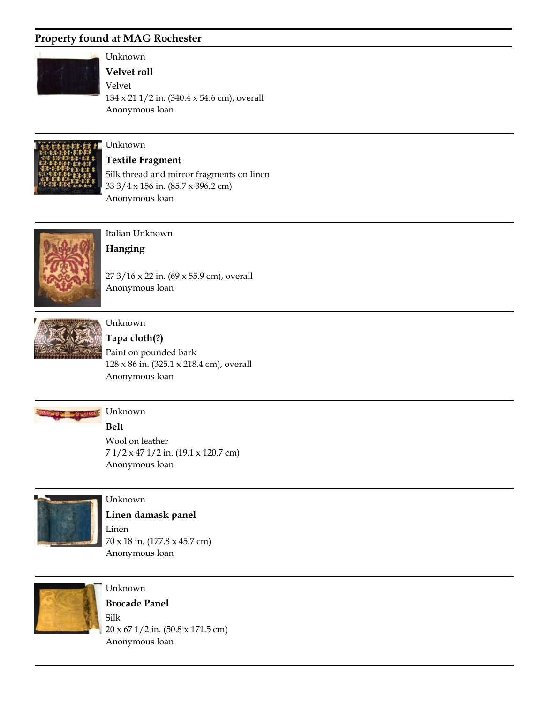

Unknown

**Velvet roll**

Anonymous loan 134 x 21 1/2 in. (340.4 x 54.6 cm), overall Velvet



# Unknown

Anonymous loan **Textile Fragment** 33 3/4 x 156 in. (85.7 x 396.2 cm) Silk thread and mirror fragments on linen



Italian Unknown **Hanging**

Anonymous loan 27 3/16 x 22 in. (69 x 55.9 cm), overall



### Unknown

Anonymous loan **Tapa cloth(?)** 128 x 86 in. (325.1 x 218.4 cm), overall Paint on pounded bark



# **Belt**

Anonymous loan 7 1/2 x 47 1/2 in. (19.1 x 120.7 cm) Wool on leather



#### Unknown

Anonymous loan **Linen damask panel** 70 x 18 in. (177.8 x 45.7 cm) Linen



Unknown Anonymous loan **Brocade Panel** 20 x 67 1/2 in. (50.8 x 171.5 cm) Silk